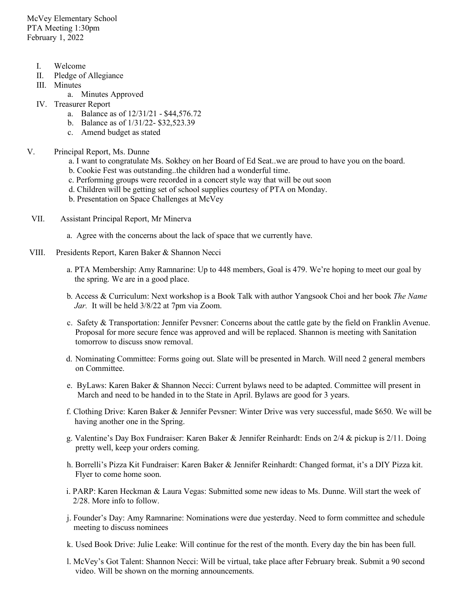McVey Elementary School PTA Meeting 1:30pm February 1, 2022

- I. Welcome
- II. Pledge of Allegiance
- III. Minutes
	- a. Minutes Approved
- IV. Treasurer Report
	- a. Balance as of 12/31/21 \$44,576.72
	- b. Balance as of 1/31/22- \$32,523.39
	- c. Amend budget as stated
- V. Principal Report, Ms. Dunne
	- a. I want to congratulate Ms. Sokhey on her Board of Ed Seat..we are proud to have you on the board.
	- b. Cookie Fest was outstanding..the children had a wonderful time.
	- c. Performing groups were recorded in a concert style way that will be out soon
	- d. Children will be getting set of school supplies courtesy of PTA on Monday.
	- b. Presentation on Space Challenges at McVey
	- VII. Assistant Principal Report, Mr Minerva
		- a. Agree with the concerns about the lack of space that we currently have.
- VIII. Presidents Report, Karen Baker & Shannon Necci
	- a. PTA Membership: Amy Ramnarine: Up to 448 members, Goal is 479. We're hoping to meet our goal by the spring. We are in a good place.
	- b. Access & Curriculum: Next workshop is a Book Talk with author Yangsook Choi and her book *The Name Jar.* It will be held 3/8/22 at 7pm via Zoom.
	- c. Safety & Transportation: Jennifer Pevsner: Concerns about the cattle gate by the field on Franklin Avenue. Proposal for more secure fence was approved and will be replaced. Shannon is meeting with Sanitation tomorrow to discuss snow removal.
	- d. Nominating Committee: Forms going out. Slate will be presented in March. Will need 2 general members on Committee.
	- e. ByLaws: Karen Baker & Shannon Necci: Current bylaws need to be adapted. Committee will present in March and need to be handed in to the State in April. Bylaws are good for 3 years.
	- f. Clothing Drive: Karen Baker & Jennifer Pevsner: Winter Drive was very successful, made \$650. We will be having another one in the Spring.
	- g. Valentine's Day Box Fundraiser: Karen Baker & Jennifer Reinhardt: Ends on 2/4 & pickup is 2/11. Doing pretty well, keep your orders coming.
	- h. Borrelli's Pizza Kit Fundraiser: Karen Baker & Jennifer Reinhardt: Changed format, it's a DIY Pizza kit. Flyer to come home soon.
	- i. PARP: Karen Heckman & Laura Vegas: Submitted some new ideas to Ms. Dunne. Will start the week of 2/28. More info to follow.
	- j. Founder's Day: Amy Ramnarine: Nominations were due yesterday. Need to form committee and schedule meeting to discuss nominees
	- k. Used Book Drive: Julie Leake: Will continue for the rest of the month. Every day the bin has been full.
	- l. McVey's Got Talent: Shannon Necci: Will be virtual, take place after February break. Submit a 90 second video. Will be shown on the morning announcements.